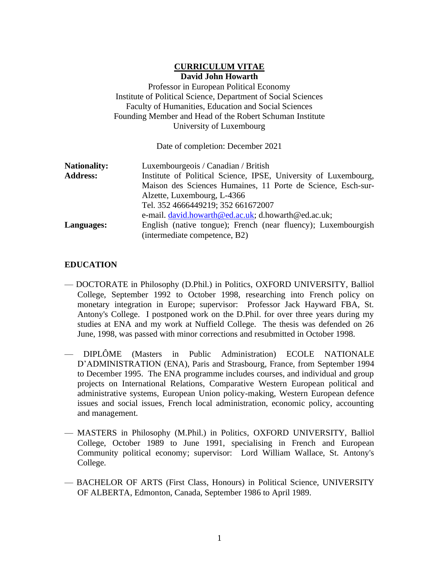### **CURRICULUM VITAE David John Howarth**

Professor in European Political Economy Institute of Political Science, Department of Social Sciences Faculty of Humanities, Education and Social Sciences Founding Member and Head of the Robert Schuman Institute University of Luxembourg

Date of completion: December 2021

| <b>Nationality:</b> | Luxembourgeois / Canadian / British                             |
|---------------------|-----------------------------------------------------------------|
| <b>Address:</b>     | Institute of Political Science, IPSE, University of Luxembourg, |
|                     | Maison des Sciences Humaines, 11 Porte de Science, Esch-sur-    |
|                     | Alzette, Luxembourg, L-4366                                     |
|                     | Tel. 352 4666449219; 352 661672007                              |
|                     | e-mail. david.howarth@ed.ac.uk; d.howarth@ed.ac.uk;             |
| Languages:          | English (native tongue); French (near fluency); Luxembourgish   |
|                     | (intermediate competence, B2)                                   |

## **EDUCATION**

- DOCTORATE in Philosophy (D.Phil.) in Politics, OXFORD UNIVERSITY, Balliol College, September 1992 to October 1998, researching into French policy on monetary integration in Europe; supervisor: Professor Jack Hayward FBA, St. Antony's College. I postponed work on the D.Phil. for over three years during my studies at ENA and my work at Nuffield College. The thesis was defended on 26 June, 1998, was passed with minor corrections and resubmitted in October 1998.
- DIPLÔME (Masters in Public Administration) ECOLE NATIONALE D'ADMINISTRATION (ENA), Paris and Strasbourg, France, from September 1994 to December 1995. The ENA programme includes courses, and individual and group projects on International Relations, Comparative Western European political and administrative systems, European Union policy-making, Western European defence issues and social issues, French local administration, economic policy, accounting and management.
- MASTERS in Philosophy (M.Phil.) in Politics, OXFORD UNIVERSITY, Balliol College, October 1989 to June 1991, specialising in French and European Community political economy; supervisor: Lord William Wallace, St. Antony's College.
- BACHELOR OF ARTS (First Class, Honours) in Political Science, UNIVERSITY OF ALBERTA, Edmonton, Canada, September 1986 to April 1989.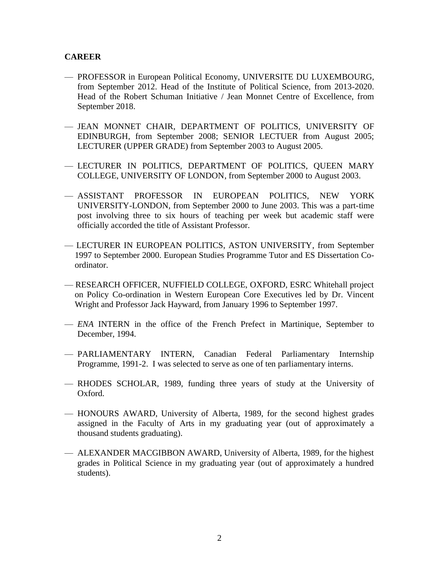### **CAREER**

- PROFESSOR in European Political Economy, UNIVERSITE DU LUXEMBOURG, from September 2012. Head of the Institute of Political Science, from 2013-2020. Head of the Robert Schuman Initiative / Jean Monnet Centre of Excellence, from September 2018.
- JEAN MONNET CHAIR, DEPARTMENT OF POLITICS, UNIVERSITY OF EDINBURGH, from September 2008; SENIOR LECTUER from August 2005; LECTURER (UPPER GRADE) from September 2003 to August 2005.
- LECTURER IN POLITICS, DEPARTMENT OF POLITICS, QUEEN MARY COLLEGE, UNIVERSITY OF LONDON, from September 2000 to August 2003.
- ASSISTANT PROFESSOR IN EUROPEAN POLITICS, NEW YORK UNIVERSITY-LONDON, from September 2000 to June 2003. This was a part-time post involving three to six hours of teaching per week but academic staff were officially accorded the title of Assistant Professor.
- LECTURER IN EUROPEAN POLITICS, ASTON UNIVERSITY, from September 1997 to September 2000. European Studies Programme Tutor and ES Dissertation Coordinator.
- RESEARCH OFFICER, NUFFIELD COLLEGE, OXFORD, ESRC Whitehall project on Policy Co-ordination in Western European Core Executives led by Dr. Vincent Wright and Professor Jack Hayward, from January 1996 to September 1997.
- *ENA* INTERN in the office of the French Prefect in Martinique, September to December, 1994.
- PARLIAMENTARY INTERN, Canadian Federal Parliamentary Internship Programme, 1991-2. I was selected to serve as one of ten parliamentary interns.
- RHODES SCHOLAR, 1989, funding three years of study at the University of Oxford.
- HONOURS AWARD, University of Alberta, 1989, for the second highest grades assigned in the Faculty of Arts in my graduating year (out of approximately a thousand students graduating).
- ALEXANDER MACGIBBON AWARD, University of Alberta, 1989, for the highest grades in Political Science in my graduating year (out of approximately a hundred students).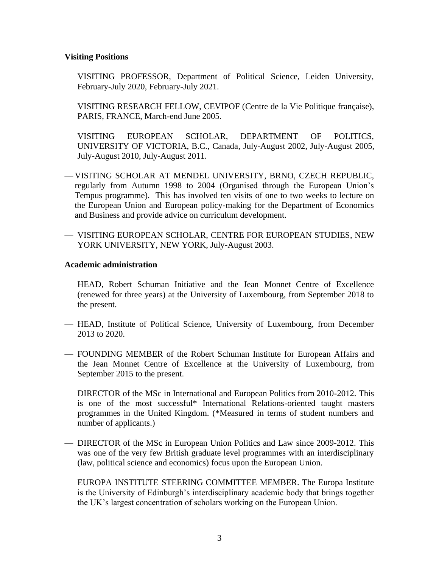#### **Visiting Positions**

- VISITING PROFESSOR, Department of Political Science, Leiden University, February-July 2020, February-July 2021.
- VISITING RESEARCH FELLOW, CEVIPOF (Centre de la Vie Politique française), PARIS, FRANCE, March-end June 2005.
- VISITING EUROPEAN SCHOLAR, DEPARTMENT OF POLITICS, UNIVERSITY OF VICTORIA, B.C., Canada, July-August 2002, July-August 2005, July-August 2010, July-August 2011.
- VISITING SCHOLAR AT MENDEL UNIVERSITY, BRNO, CZECH REPUBLIC, regularly from Autumn 1998 to 2004 (Organised through the European Union's Tempus programme). This has involved ten visits of one to two weeks to lecture on the European Union and European policy-making for the Department of Economics and Business and provide advice on curriculum development.
- VISITING EUROPEAN SCHOLAR, CENTRE FOR EUROPEAN STUDIES, NEW YORK UNIVERSITY, NEW YORK, July-August 2003.

#### **Academic administration**

- HEAD, Robert Schuman Initiative and the Jean Monnet Centre of Excellence (renewed for three years) at the University of Luxembourg, from September 2018 to the present.
- HEAD, Institute of Political Science, University of Luxembourg, from December 2013 to 2020.
- FOUNDING MEMBER of the Robert Schuman Institute for European Affairs and the Jean Monnet Centre of Excellence at the University of Luxembourg, from September 2015 to the present.
- DIRECTOR of the MSc in International and European Politics from 2010-2012. This is one of the most successful\* International Relations-oriented taught masters programmes in the United Kingdom. (\*Measured in terms of student numbers and number of applicants.)
- DIRECTOR of the MSc in European Union Politics and Law since 2009-2012. This was one of the very few British graduate level programmes with an interdisciplinary (law, political science and economics) focus upon the European Union.
- EUROPA INSTITUTE STEERING COMMITTEE MEMBER. The Europa Institute is the University of Edinburgh's interdisciplinary academic body that brings together the UK's largest concentration of scholars working on the European Union.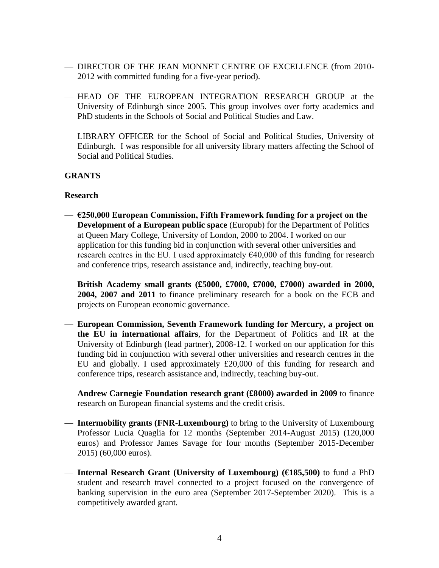- DIRECTOR OF THE JEAN MONNET CENTRE OF EXCELLENCE (from 2010- 2012 with committed funding for a five-year period).
- HEAD OF THE EUROPEAN INTEGRATION RESEARCH GROUP at the University of Edinburgh since 2005. This group involves over forty academics and PhD students in the Schools of Social and Political Studies and Law.
- LIBRARY OFFICER for the School of Social and Political Studies, University of Edinburgh. I was responsible for all university library matters affecting the School of Social and Political Studies.

## **GRANTS**

### **Research**

- **€250,000 European Commission, Fifth Framework funding for a project on the Development of a European public space** (Europub) for the Department of Politics at Queen Mary College, University of London, 2000 to 2004. I worked on our application for this funding bid in conjunction with several other universities and research centres in the EU. I used approximately  $640,000$  of this funding for research and conference trips, research assistance and, indirectly, teaching buy-out.
- **British Academy small grants (£5000, £7000, £7000, £7000) awarded in 2000, 2004, 2007 and 2011** to finance preliminary research for a book on the ECB and projects on European economic governance.
- **European Commission, Seventh Framework funding for Mercury, a project on the EU in international affairs**, for the Department of Politics and IR at the University of Edinburgh (lead partner), 2008-12. I worked on our application for this funding bid in conjunction with several other universities and research centres in the EU and globally. I used approximately £20,000 of this funding for research and conference trips, research assistance and, indirectly, teaching buy-out.
- **Andrew Carnegie Foundation research grant (£8000) awarded in 2009** to finance research on European financial systems and the credit crisis.
- **Intermobility grants (FNR-Luxembourg)** to bring to the University of Luxembourg Professor Lucia Quaglia for 12 months (September 2014-August 2015) (120,000 euros) and Professor James Savage for four months (September 2015-December 2015) (60,000 euros).
- **Internal Research Grant (University of Luxembourg) (€185,500)** to fund a PhD student and research travel connected to a project focused on the convergence of banking supervision in the euro area (September 2017-September 2020). This is a competitively awarded grant.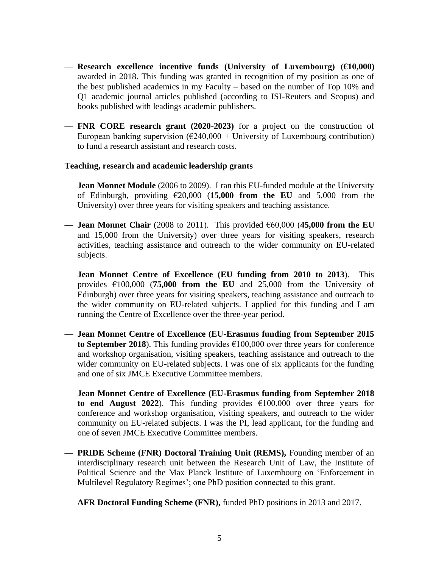- **Research excellence incentive funds (University of Luxembourg) (€10,000)**  awarded in 2018. This funding was granted in recognition of my position as one of the best published academics in my Faculty – based on the number of Top 10% and Q1 academic journal articles published (according to ISI-Reuters and Scopus) and books published with leadings academic publishers.
- **FNR CORE research grant (2020-2023)** for a project on the construction of European banking supervision  $(\text{\textsterling}240,000 + \text{University of Luxembourg contribution})$ to fund a research assistant and research costs.

### **Teaching, research and academic leadership grants**

- **Jean Monnet Module** (2006 to 2009). I ran this EU-funded module at the University of Edinburgh, providing  $\epsilon$ 20,000 (15,000 from the EU and 5,000 from the University) over three years for visiting speakers and teaching assistance.
- **Jean Monnet Chair** (2008 to 2011). This provided  $\epsilon$ 60,000 (45,000 from the EU and 15,000 from the University) over three years for visiting speakers, research activities, teaching assistance and outreach to the wider community on EU-related subjects.
- **Jean Monnet Centre of Excellence (EU funding from 2010 to 2013**). This provides  $\epsilon$ 100,000 (**75,000 from the EU** and 25,000 from the University of Edinburgh) over three years for visiting speakers, teaching assistance and outreach to the wider community on EU-related subjects. I applied for this funding and I am running the Centre of Excellence over the three-year period.
- **Jean Monnet Centre of Excellence (EU-Erasmus funding from September 2015 to September** 2018). This funding provides  $\epsilon$ 100,000 over three years for conference and workshop organisation, visiting speakers, teaching assistance and outreach to the wider community on EU-related subjects. I was one of six applicants for the funding and one of six JMCE Executive Committee members.
- **Jean Monnet Centre of Excellence (EU-Erasmus funding from September 2018 to end August 2022**). This funding provides  $£100,000$  over three years for conference and workshop organisation, visiting speakers, and outreach to the wider community on EU-related subjects. I was the PI, lead applicant, for the funding and one of seven JMCE Executive Committee members.
- **PRIDE Scheme (FNR) Doctoral Training Unit (REMS),** Founding member of an interdisciplinary research unit between the Research Unit of Law, the Institute of Political Science and the Max Planck Institute of Luxembourg on 'Enforcement in Multilevel Regulatory Regimes'; one PhD position connected to this grant.
- **AFR Doctoral Funding Scheme (FNR),** funded PhD positions in 2013 and 2017.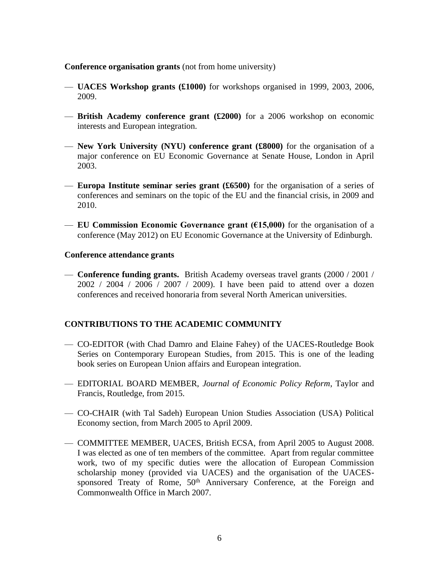#### **Conference organisation grants** (not from home university)

- **UACES Workshop grants (£1000)** for workshops organised in 1999, 2003, 2006, 2009.
- **British Academy conference grant (£2000)** for a 2006 workshop on economic interests and European integration.
- **New York University (NYU) conference grant (£8000)** for the organisation of a major conference on EU Economic Governance at Senate House, London in April 2003.
- **Europa Institute seminar series grant (£6500)** for the organisation of a series of conferences and seminars on the topic of the EU and the financial crisis, in 2009 and 2010.
- **EU Commission Economic Governance grant (** $615,000$ **)** for the organisation of a conference (May 2012) on EU Economic Governance at the University of Edinburgh.

#### **Conference attendance grants**

— **Conference funding grants.** British Academy overseas travel grants (2000 / 2001 / 2002 / 2004 / 2006 / 2007 / 2009). I have been paid to attend over a dozen conferences and received honoraria from several North American universities.

### **CONTRIBUTIONS TO THE ACADEMIC COMMUNITY**

- CO-EDITOR (with Chad Damro and Elaine Fahey) of the UACES-Routledge Book Series on Contemporary European Studies, from 2015. This is one of the leading book series on European Union affairs and European integration.
- EDITORIAL BOARD MEMBER, *Journal of Economic Policy Reform*, Taylor and Francis, Routledge, from 2015.
- CO-CHAIR (with Tal Sadeh) European Union Studies Association (USA) Political Economy section, from March 2005 to April 2009.
- COMMITTEE MEMBER, UACES, British ECSA, from April 2005 to August 2008. I was elected as one of ten members of the committee. Apart from regular committee work, two of my specific duties were the allocation of European Commission scholarship money (provided via UACES) and the organisation of the UACESsponsored Treaty of Rome, 50<sup>th</sup> Anniversary Conference, at the Foreign and Commonwealth Office in March 2007.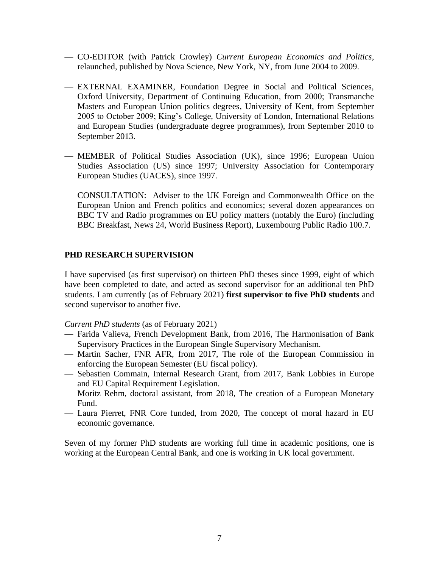- CO-EDITOR (with Patrick Crowley) *Current European Economics and Politics*, relaunched, published by Nova Science, New York, NY, from June 2004 to 2009.
- EXTERNAL EXAMINER, Foundation Degree in Social and Political Sciences, Oxford University, Department of Continuing Education, from 2000; Transmanche Masters and European Union politics degrees, University of Kent, from September 2005 to October 2009; King's College, University of London, International Relations and European Studies (undergraduate degree programmes), from September 2010 to September 2013.
- MEMBER of Political Studies Association (UK), since 1996; European Union Studies Association (US) since 1997; University Association for Contemporary European Studies (UACES), since 1997.
- CONSULTATION: Adviser to the UK Foreign and Commonwealth Office on the European Union and French politics and economics; several dozen appearances on BBC TV and Radio programmes on EU policy matters (notably the Euro) (including BBC Breakfast, News 24, World Business Report), Luxembourg Public Radio 100.7.

### **PHD RESEARCH SUPERVISION**

I have supervised (as first supervisor) on thirteen PhD theses since 1999, eight of which have been completed to date, and acted as second supervisor for an additional ten PhD students. I am currently (as of February 2021) **first supervisor to five PhD students** and second supervisor to another five.

*Current PhD students* (as of February 2021)

- Farida Valieva, French Development Bank, from 2016, The Harmonisation of Bank Supervisory Practices in the European Single Supervisory Mechanism.
- Martin Sacher, FNR AFR, from 2017, The role of the European Commission in enforcing the European Semester (EU fiscal policy).
- Sebastien Commain, Internal Research Grant, from 2017, Bank Lobbies in Europe and EU Capital Requirement Legislation.
- Moritz Rehm, doctoral assistant, from 2018, The creation of a European Monetary Fund.
- Laura Pierret, FNR Core funded, from 2020, The concept of moral hazard in EU economic governance.

Seven of my former PhD students are working full time in academic positions, one is working at the European Central Bank, and one is working in UK local government.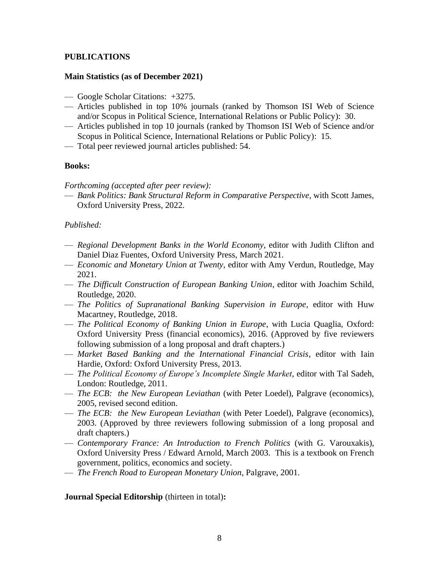# **PUBLICATIONS**

### **Main Statistics (as of December 2021)**

- Google Scholar Citations: +3275.
- Articles published in top 10% journals (ranked by Thomson ISI Web of Science and/or Scopus in Political Science, International Relations or Public Policy): 30.
- Articles published in top 10 journals (ranked by Thomson ISI Web of Science and/or Scopus in Political Science, International Relations or Public Policy): 15.
- Total peer reviewed journal articles published: 54.

#### **Books:**

*Forthcoming (accepted after peer review):*

— *Bank Politics: Bank Structural Reform in Comparative Perspective*, with Scott James, Oxford University Press, 2022.

### *Published:*

- *Regional Development Banks in the World Economy*, editor with Judith Clifton and Daniel Diaz Fuentes, Oxford University Press, March 2021.
- *Economic and Monetary Union at Twenty*, editor with Amy Verdun, Routledge, May 2021.
- *The Difficult Construction of European Banking Union*, editor with Joachim Schild, Routledge, 2020.
- *The Politics of Supranational Banking Supervision in Europe,* editor with Huw Macartney, Routledge, 2018.
- *The Political Economy of Banking Union in Europe*, with Lucia Quaglia, Oxford: Oxford University Press (financial economics), 2016. (Approved by five reviewers following submission of a long proposal and draft chapters.)
- *Market Based Banking and the International Financial Crisis*, editor with Iain Hardie, Oxford: Oxford University Press, 2013.
- *The Political Economy of Europe's Incomplete Single Market*, editor with Tal Sadeh, London: Routledge, 2011.
- *The ECB: the New European Leviathan* (with Peter Loedel), Palgrave (economics), 2005, revised second edition.
- *The ECB: the New European Leviathan* (with Peter Loedel), Palgrave (economics), 2003. (Approved by three reviewers following submission of a long proposal and draft chapters.)
- *Contemporary France: An Introduction to French Politics* (with G. Varouxakis), Oxford University Press / Edward Arnold, March 2003. This is a textbook on French government, politics, economics and society.
- *The French Road to European Monetary Union*, Palgrave, 2001.

**Journal Special Editorship** (thirteen in total)**:**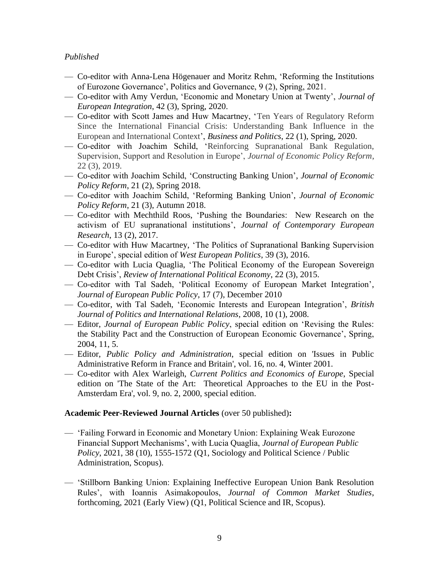## *Published*

- Co-editor with Anna-Lena Högenauer and Moritz Rehm, 'Reforming the Institutions of Eurozone Governance', Politics and Governance, 9 (2), Spring, 2021.
- Co-editor with Amy Verdun, 'Economic and Monetary Union at Twenty', *Journal of European Integration*, 42 (3), Spring, 2020.
- Co-editor with Scott James and Huw Macartney, 'Ten Years of Regulatory Reform Since the International Financial Crisis: Understanding Bank Influence in the European and International Context', *Business and Politics*, 22 (1), Spring, 2020.
- Co-editor with Joachim Schild, 'Reinforcing Supranational Bank Regulation, Supervision, Support and Resolution in Europe', *Journal of Economic Policy Reform*, 22 (3), 2019.
- Co-editor with Joachim Schild, 'Constructing Banking Union', *Journal of Economic Policy Reform*, 21 (2), Spring 2018.
- Co-editor with Joachim Schild, 'Reforming Banking Union', *Journal of Economic Policy Reform*, 21 (3), Autumn 2018.
- Co-editor with Mechthild Roos, 'Pushing the Boundaries: New Research on the activism of EU supranational institutions', *Journal of Contemporary European Research*, 13 (2), 2017.
- Co-editor with Huw Macartney, 'The Politics of Supranational Banking Supervision in Europe', special edition of *West European Politics*, 39 (3), 2016.
- Co-editor with Lucia Quaglia, 'The Political Economy of the European Sovereign Debt Crisis', *Review of International Political Economy*, 22 (3), 2015.
- Co-editor with Tal Sadeh, 'Political Economy of European Market Integration', *Journal of European Public Policy*, 17 (7), December 2010
- Co-editor, with Tal Sadeh, 'Economic Interests and European Integration', *British Journal of Politics and International Relations*, 2008, 10 (1), 2008.
- Editor, *Journal of European Public Policy*, special edition on 'Revising the Rules: the Stability Pact and the Construction of European Economic Governance', Spring, 2004, 11, 5.
- Editor, *Public Policy and Administration*, special edition on 'Issues in Public Administrative Reform in France and Britain', vol. 16, no. 4, Winter 2001.
- Co-editor with Alex Warleigh, *Current Politics and Economics of Europe*, Special edition on 'The State of the Art: Theoretical Approaches to the EU in the Post-Amsterdam Era', vol. 9, no. 2, 2000, special edition.

### **Academic Peer-Reviewed Journal Articles** (over 50 published)**:**

- 'Failing Forward in Economic and Monetary Union: Explaining Weak Eurozone Financial Support Mechanisms', with Lucia Quaglia, *Journal of European Public Policy*, 2021, 38 (10), 1555-1572 (Q1, Sociology and Political Science / Public Administration, Scopus).
- 'Stillborn Banking Union: Explaining Ineffective European Union Bank Resolution Rules', with Ioannis Asimakopoulos, *Journal of Common Market Studies*, forthcoming, 2021 (Early View) (Q1, Political Science and IR, Scopus).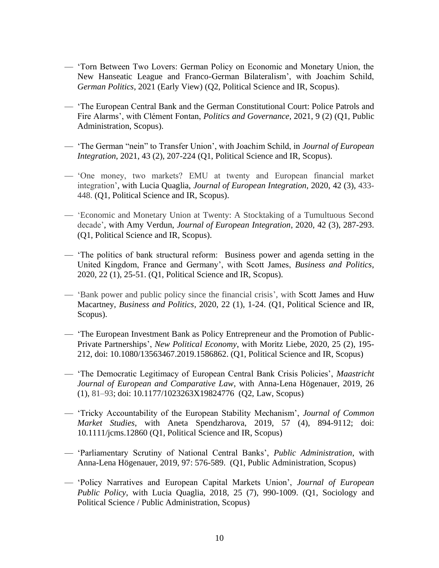- 'Torn Between Two Lovers: German Policy on Economic and Monetary Union, the New Hanseatic League and Franco-German Bilateralism', with Joachim Schild, *German Politics*, 2021 (Early View) (Q2, Political Science and IR, Scopus).
- 'The European Central Bank and the German Constitutional Court: Police Patrols and Fire Alarms', with Clément Fontan, *Politics and Governance*, 2021, 9 (2) (Q1, Public Administration, Scopus).
- 'The German "nein" to Transfer Union', with Joachim Schild, in *Journal of European Integration*, 2021, 43 (2), 207-224 (Q1, Political Science and IR, Scopus).
- 'One money, two markets? EMU at twenty and European financial market integration', with Lucia Quaglia, *Journal of European Integration*, 2020, 42 (3), 433- 448. (Q1, Political Science and IR, Scopus).
- 'Economic and Monetary Union at Twenty: A Stocktaking of a Tumultuous Second decade', with Amy Verdun, *Journal of European Integration*, 2020, 42 (3), 287-293. (Q1, Political Science and IR, Scopus).
- 'The politics of bank structural reform: Business power and agenda setting in the United Kingdom, France and Germany', with Scott James, *Business and Politics*, 2020, 22 (1), 25-51. (Q1, Political Science and IR, Scopus).
- 'Bank power and public policy since the financial crisis', with Scott James and Huw Macartney, *Business and Politics*, 2020, 22 (1), 1-24. (Q1, Political Science and IR, Scopus).
- 'The European Investment Bank as Policy Entrepreneur and the Promotion of Public-Private Partnerships', *New Political Economy*, with Moritz Liebe, 2020, 25 (2), 195- 212, doi: [10.1080/13563467.2019.1586862.](https://doi.org/10.1080/13563467.2019.1586862) (Q1, Political Science and IR, Scopus)
- 'The Democratic Legitimacy of European Central Bank Crisis Policies', *Maastricht Journal of European and Comparative Law*, with Anna-Lena Högenauer, 2019, 26 (1), 81–93; doi: 10.1177/1023263X19824776 (Q2, Law, Scopus)
- 'Tricky Accountability of the European Stability Mechanism', *Journal of Common Market Studies*, with Aneta Spendzharova, 2019, 57 (4), 894-9112; doi: 10.1111/jcms.12860 (Q1, Political Science and IR, Scopus)
- 'Parliamentary Scrutiny of National Central Banks', *Public Administration*, with Anna-Lena Högenauer, 2019, 97: 576-589. (Q1, Public Administration, Scopus)
- 'Policy Narratives and European Capital Markets Union', *Journal of European Public Policy*, with Lucia Quaglia, 2018, 25 (7), 990-1009. (Q1, Sociology and Political Science / Public Administration, Scopus)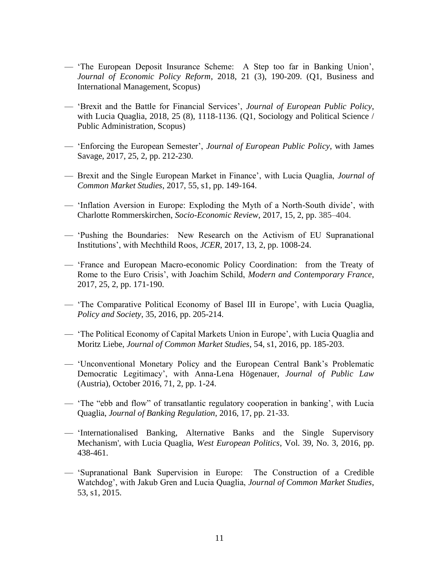- 'The European Deposit Insurance Scheme: A Step too far in Banking Union', *Journal of Economic Policy Reform*, 2018, 21 (3), 190-209. (Q1, Business and International Management, Scopus)
- 'Brexit and the Battle for Financial Services', *Journal of European Public Policy*, with Lucia Quaglia, 2018, 25 (8), 1118-1136. (Q1, Sociology and Political Science / Public Administration, Scopus)
- 'Enforcing the European Semester', *Journal of European Public Policy*, with James Savage, 2017, 25, 2, pp. 212-230.
- Brexit and the Single European Market in Finance', with Lucia Quaglia, *Journal of Common Market Studies*, 2017, 55, s1, pp. 149-164.
- 'Inflation Aversion in Europe: Exploding the Myth of a North-South divide', with Charlotte Rommerskirchen, *Socio-Economic Review*, 2017, 15, 2, pp. 385–404.
- 'Pushing the Boundaries: New Research on the Activism of EU Supranational Institutions', with Mechthild Roos, *JCER*, 2017, 13, 2, pp. 1008-24.
- 'France and European Macro-economic Policy Coordination: from the Treaty of Rome to the Euro Crisis', with Joachim Schild, *Modern and Contemporary France*, 2017, 25, 2, pp. 171-190.
- 'The Comparative Political Economy of Basel III in Europe', with Lucia Quaglia, *Policy and Society*, 35, 2016, pp. 205-214.
- 'The Political Economy of Capital Markets Union in Europe', with Lucia Quaglia and Moritz Liebe, *Journal of Common Market Studies*, 54, s1, 2016, pp. 185-203.
- 'Unconventional Monetary Policy and the European Central Bank's Problematic Democratic Legitimacy', with Anna-Lena Högenauer, *Journal of Public Law* (Austria), October 2016, 71, 2, pp. 1-24.
- 'The "ebb and flow" of transatlantic regulatory cooperation in banking', with Lucia Quaglia, *Journal of Banking Regulation*, 2016, 17, pp. 21-33.
- 'Internationalised Banking, Alternative Banks and the Single Supervisory Mechanism', with Lucia Quaglia, *West European Politics*, Vol. 39, No. 3, 2016, pp. 438-461.
- 'Supranational Bank Supervision in Europe: The Construction of a Credible Watchdog', with Jakub Gren and Lucia Quaglia, *Journal of Common Market Studies*, 53, s1, 2015.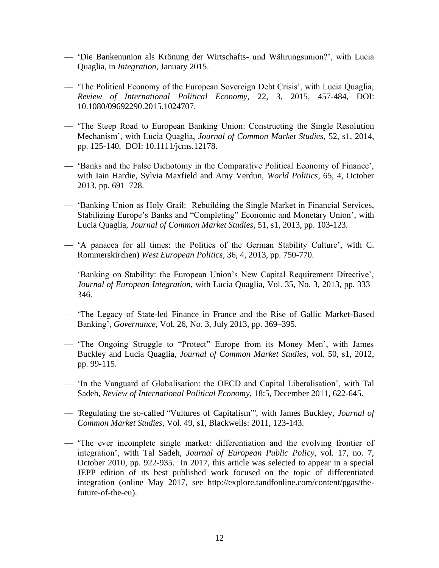- 'Die Bankenunion als Krönung der Wirtschafts- und Währungsunion?', with Lucia Quaglia, in *Integration*, January 2015.
- 'The Political Economy of the European Sovereign Debt Crisis', with Lucia Quaglia, *Review of International Political Economy*, 22, 3, 2015, 457-484, DOI: 10.1080/09692290.2015.1024707.
- 'The Steep Road to European Banking Union: Constructing the Single Resolution Mechanism', with Lucia Quaglia, *Journal of Common Market Studies*, 52, s1, 2014, pp. 125-140, DOI: 10.1111/jcms.12178.
- 'Banks and the False Dichotomy in the Comparative Political Economy of Finance', with Iain Hardie, Sylvia Maxfield and Amy Verdun, *World Politics*, 65, 4, October 2013, pp. 691–728.
- 'Banking Union as Holy Grail: Rebuilding the Single Market in Financial Services, Stabilizing Europe's Banks and "Completing" Economic and Monetary Union', with Lucia Quaglia, *Journal of Common Market Studies*, 51, s1, 2013, pp. 103-123.
- 'A panacea for all times: the Politics of the German Stability Culture', with C. Rommerskirchen) *West European Politics*, 36, 4, 2013, pp. 750-770.
- 'Banking on Stability: the European Union's New Capital Requirement Directive', *Journal of European Integration*, with Lucia Quaglia, Vol. 35, No. 3, 2013, pp. 333– 346.
- 'The Legacy of State-led Finance in France and the Rise of Gallic Market-Based Banking', *Governance*, Vol. 26, No. 3, July 2013, pp. 369–395.
- 'The Ongoing Struggle to "Protect" Europe from its Money Men', with James Buckley and Lucia Quaglia, *Journal of Common Market Studies*, vol. 50, s1, 2012, pp. 99-115.
- 'In the Vanguard of Globalisation: the OECD and Capital Liberalisation', with Tal Sadeh, *Review of International Political Economy*, 18:5, December 2011, 622-645.
- 'Regulating the so-called "Vultures of Capitalism"', with James Buckley, *Journal of Common Market Studies*, Vol. 49, s1, Blackwells: 2011, 123-143.
- 'The ever incomplete single market: differentiation and the evolving frontier of integration', with Tal Sadeh, *Journal of European Public Policy*, vol. 17, no. 7, October 2010, pp. 922-935. In 2017, this article was selected to appear in a special JEPP edition of its best published work focused on the topic of differentiated integration (online May 2017, see http://explore.tandfonline.com/content/pgas/thefuture-of-the-eu).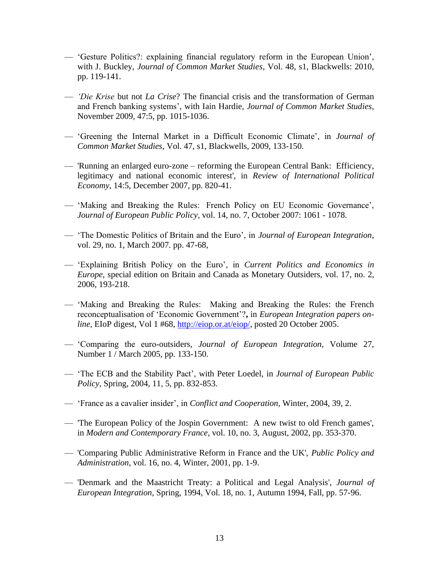- 'Gesture Politics?: explaining financial regulatory reform in the European Union', with J. Buckley, *Journal of Common Market Studies*, Vol. 48, s1, Blackwells: 2010, pp. 119-141.
- *'Die Krise* but not *La Crise*? The financial crisis and the transformation of German and French banking systems', with Iain Hardie*, Journal of Common Market Studies*, November 2009, 47:5, pp. 1015-1036.
- 'Greening the Internal Market in a Difficult Economic Climate', in *Journal of Common Market Studies*, Vol. 47, s1, Blackwells, 2009, 133-150.
- 'Running an enlarged euro-zone reforming the European Central Bank: Efficiency, legitimacy and national economic interest', in *Review of International Political Economy*, 14:5, December 2007, pp. 820-41.
- 'Making and Breaking the Rules: French Policy on EU Economic Governance', *Journal of European Public Policy*, vol. 14, no. 7, October 2007: 1061 - 1078.
- 'The Domestic Politics of Britain and the Euro', in *Journal of European Integration*, vol. 29, no. 1, March 2007. pp. 47-68,
- 'Explaining British Policy on the Euro', in *Current Politics and Economics in Europe,* special edition on Britain and Canada as Monetary Outsiders, vol. 17, no. 2, 2006, 193-218.
- 'Making and Breaking the Rules: Making and Breaking the Rules: the French reconceptualisation of 'Economic Government'?**,** in *European Integration papers online*, EIoP digest, Vol 1 #68, [http://eiop.or.at/eiop/,](http://eiop.or.at/eiop/) posted 20 October 2005.
- 'Comparing the euro-outsiders, *Journal of European Integration*, Volume 27, Number 1 / March 2005, pp. 133-150.
- 'The ECB and the Stability Pact', with Peter Loedel, in *Journal of European Public Policy*, Spring, 2004, 11, 5, pp. 832-853.
- 'France as a cavalier insider', in *Conflict and Cooperation*, Winter, 2004, 39, 2.
- 'The European Policy of the Jospin Government: A new twist to old French games', in *Modern and Contemporary France*, vol. 10, no. 3, August, 2002, pp. 353-370.
- 'Comparing Public Administrative Reform in France and the UK', *Public Policy and Administration*, vol. 16, no. 4, Winter, 2001, pp. 1-9.
- 'Denmark and the Maastricht Treaty: a Political and Legal Analysis', *Journal of European Integration*, Spring, 1994, Vol. 18, no. 1, Autumn 1994, Fall, pp. 57-96.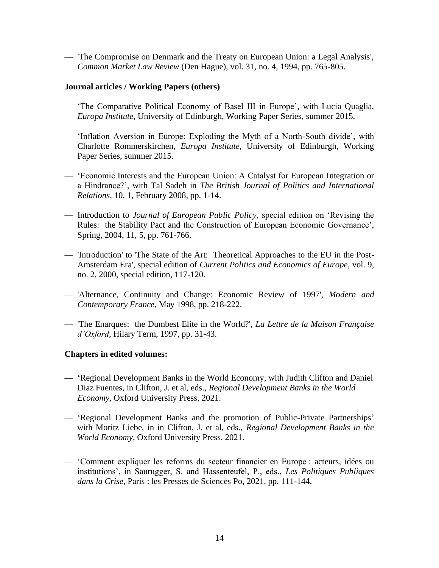— 'The Compromise on Denmark and the Treaty on European Union: a Legal Analysis', *Common Market Law Review* (Den Hague), vol. 31, no. 4, 1994, pp. 765-805.

### **Journal articles / Working Papers (others)**

- 'The Comparative Political Economy of Basel III in Europe', with Lucia Quaglia, *Europa Institute,* University of Edinburgh, Working Paper Series, summer 2015.
- 'Inflation Aversion in Europe: Exploding the Myth of a North-South divide', with Charlotte Rommerskirchen, *Europa Institute,* University of Edinburgh, Working Paper Series, summer 2015.
- 'Economic Interests and the European Union: A Catalyst for European Integration or a Hindrance?', with Tal Sadeh in *The British Journal of Politics and International Relations*, 10, 1, February 2008, pp. 1-14.
- Introduction to *Journal of European Public Policy*, special edition on 'Revising the Rules: the Stability Pact and the Construction of European Economic Governance', Spring, 2004, 11, 5, pp. 761-766.
- 'Introduction' to 'The State of the Art: Theoretical Approaches to the EU in the Post-Amsterdam Era', special edition of *Current Politics and Economics of Europe*, vol. 9, no. 2, 2000, special edition, 117-120.
- 'Alternance, Continuity and Change: Economic Review of 1997', *Modern and Contemporary France*, May 1998, pp. 218-222.
- 'The Enarques: the Dumbest Elite in the World?', *La Lettre de la Maison Française d'Oxford*, Hilary Term, 1997, pp. 31-43.

# **Chapters in edited volumes:**

- 'Regional Development Banks in the World Economy, with Judith Clifton and Daniel Diaz Fuentes, in Clifton, J. et al, eds., *Regional Development Banks in the World Economy*, Oxford University Press, 2021.
- 'Regional Development Banks and the promotion of Public-Private Partnerships' with Moritz Liebe, in in Clifton, J. et al, eds., *Regional Development Banks in the World Economy*, Oxford University Press, 2021.
- 'Comment expliquer les reforms du secteur financier en Europe : acteurs, idées ou institutions', in Saurugger, S. and Hassenteufel, P., eds., *Les Politiques Publiques dans la Crise*, Paris : les Presses de Sciences Po, 2021, pp. 111-144.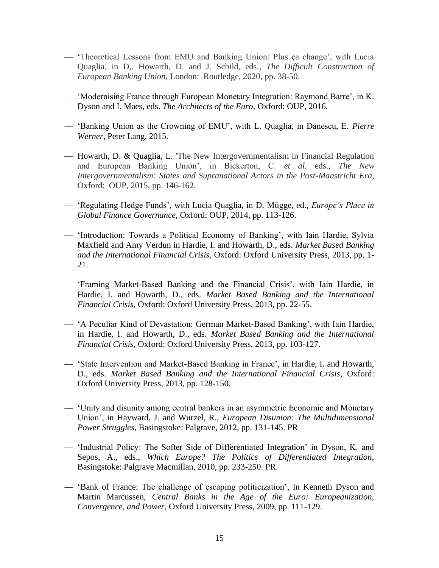- 'Theoretical Lessons from EMU and Banking Union: Plus ça change', with Lucia Quaglia, in D,. Howarth, D. and J. Schild, eds., *The Difficult Construction of European Banking Union*, London: Routledge, 2020, pp. 38-50.
- 'Modernising France through European Monetary Integration: Raymond Barre', in K. Dyson and I. Maes, eds. *The Architects of the Euro*, Oxford: OUP, 2016.
- 'Banking Union as the Crowning of EMU', with L. Quaglia, in Danescu, E. *Pierre Werner*, Peter Lang, 2015.
- Howarth, D. & Quaglia, L. 'The New Intergovernmentalism in Financial Regulation and European Banking Union', in Bickerton, C. *et al.* eds., *The New Intergovernmentalism: States and Supranational Actors in the Post-Maastricht Era*, Oxford: OUP, 2015, pp. 146-162.
- 'Regulating Hedge Funds', with Lucia Quaglia, in D. Mügge, ed., *Europe's Place in Global Finance Governance*, Oxford: OUP, 2014, pp. 113-126.
- 'Introduction: Towards a Political Economy of Banking', with Iain Hardie, Sylvia Maxfield and Amy Verdun in Hardie, I. and Howarth, D., eds. *Market Based Banking and the International Financial Crisis*, Oxford: Oxford University Press, 2013, pp. 1- 21.
- 'Framing Market-Based Banking and the Financial Crisis', with Iain Hardie, in Hardie, I. and Howarth, D., eds. *Market Based Banking and the International Financial Crisis*, Oxford: Oxford University Press, 2013, pp. 22-55.
- 'A Peculiar Kind of Devastation: German Market-Based Banking', with Iain Hardie, in Hardie, I. and Howarth, D., eds. *Market Based Banking and the International Financial Crisis*, Oxford: Oxford University Press, 2013, pp. 103-127.
- 'State Intervention and Market-Based Banking in France', in Hardie, I. and Howarth, D., eds. *Market Based Banking and the International Financial Crisis*, Oxford: Oxford University Press, 2013, pp. 128-150.
- 'Unity and disunity among central bankers in an asymmetric Economic and Monetary Union', in Hayward, J. and Wurzel, R., *European Disunion: The Multidimensional Power Struggles*, Basingstoke: Palgrave, 2012, pp. 131-145. PR
- 'Industrial Policy: The Softer Side of Differentiated Integration' in Dyson, K. and Sepos, A., eds., *Which Europe? The Politics of Differentiated Integration*, Basingstoke: Palgrave Macmillan, 2010, pp. 233-250. PR.
- 'Bank of France: The challenge of escaping politicization', in Kenneth Dyson and Martin Marcussen, *Central Banks in the Age of the Euro: Europeanization, Convergence, and Power*, Oxford University Press, 2009, pp. 111-129.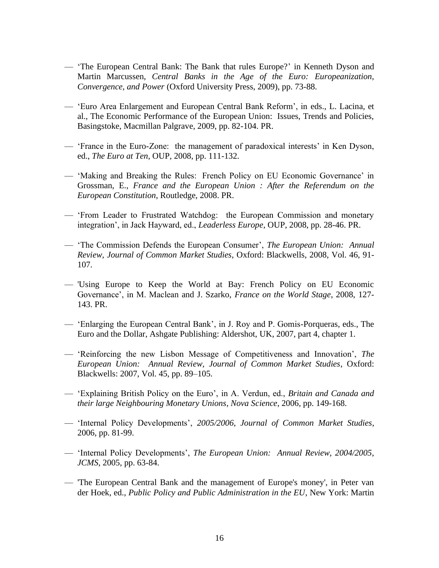- 'The European Central Bank: The Bank that rules Europe?' in Kenneth Dyson and Martin Marcussen, *Central Banks in the Age of the Euro: Europeanization, Convergence, and Power* (Oxford University Press, 2009), pp. 73-88.
- 'Euro Area Enlargement and European Central Bank Reform', in eds., L. Lacina, et al., The Economic Performance of the European Union: Issues, Trends and Policies, Basingstoke, Macmillan Palgrave, 2009, pp. 82-104. PR.
- 'France in the Euro-Zone: the management of paradoxical interests' in Ken Dyson, ed., *The Euro at Ten*, OUP, 2008, pp. 111-132.
- 'Making and Breaking the Rules: French Policy on EU Economic Governance' in Grossman, E., *France and the European Union : After the Referendum on the European Constitution*, Routledge, 2008. PR.
- 'From Leader to Frustrated Watchdog: the European Commission and monetary integration', in Jack Hayward, ed., *Leaderless Europe*, OUP, 2008, pp. 28-46. PR.
- 'The Commission Defends the European Consumer', *The European Union: Annual Review, Journal of Common Market Studies*, Oxford: Blackwells, 2008, Vol. 46, 91- 107.
- 'Using Europe to Keep the World at Bay: French Policy on EU Economic Governance', in M. Maclean and J. Szarko, *France on the World Stage*, 2008, 127- 143. PR.
- 'Enlarging the European Central Bank', in J. Roy and P. Gomis-Porqueras, eds., The Euro and the Dollar, Ashgate Publishing: Aldershot, UK, 2007, part 4, chapter 1.
- 'Reinforcing the new Lisbon Message of Competitiveness and Innovation', *The European Union: Annual Review, Journal of Common Market Studies*, Oxford: Blackwells: 2007, Vol. 45, pp. 89–105.
- 'Explaining British Policy on the Euro', in A. Verdun, ed., *Britain and Canada and their large Neighbouring Monetary Unions*, *Nova Science*, 2006, pp. 149-168.
- 'Internal Policy Developments', *2005/2006*, *Journal of Common Market Studies*, 2006, pp. 81-99.
- 'Internal Policy Developments', *The European Union: Annual Review, 2004/2005*, *JCMS*, 2005, pp. 63-84.
- 'The European Central Bank and the management of Europe's money', in Peter van der Hoek, ed., *Public Policy and Public Administration in the EU*, New York: Martin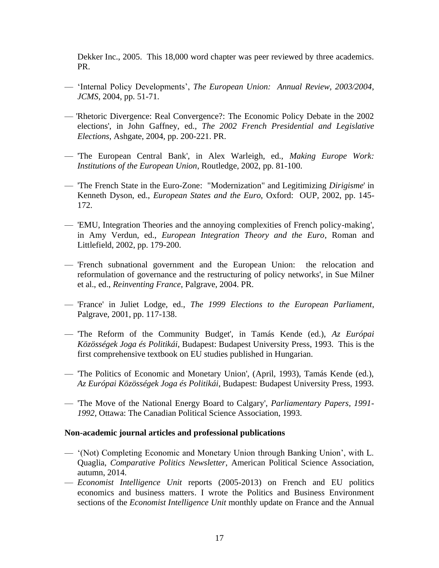Dekker Inc., 2005. This 18,000 word chapter was peer reviewed by three academics. PR.

- 'Internal Policy Developments', *The European Union: Annual Review, 2003/2004*, *JCMS*, 2004, pp. 51-71.
- 'Rhetoric Divergence: Real Convergence?: The Economic Policy Debate in the 2002 elections', in John Gaffney, ed., *The 2002 French Presidential and Legislative Elections*, Ashgate, 2004, pp. 200-221. PR.
- 'The European Central Bank', in Alex Warleigh, ed., *Making Europe Work: Institutions of the European Union*, Routledge, 2002, pp. 81-100.
- 'The French State in the Euro-Zone: "Modernization" and Legitimizing *Dirigisme*' in Kenneth Dyson, ed., *European States and the Euro*, Oxford: OUP, 2002, pp. 145- 172.
- 'EMU, Integration Theories and the annoying complexities of French policy-making', in Amy Verdun, ed., *European Integration Theory and the Euro*, Roman and Littlefield, 2002, pp. 179-200.
- 'French subnational government and the European Union: the relocation and reformulation of governance and the restructuring of policy networks', in Sue Milner et al., ed., *Reinventing France*, Palgrave, 2004. PR.
- 'France' in Juliet Lodge, ed., *The 1999 Elections to the European Parliament*, Palgrave, 2001, pp. 117-138.
- 'The Reform of the Community Budget', in Tamás Kende (ed.), *Az Európai Közösségek Joga és Politikái*, Budapest: Budapest University Press, 1993. This is the first comprehensive textbook on EU studies published in Hungarian.
- 'The Politics of Economic and Monetary Union', (April, 1993), Tamás Kende (ed.), *Az Európai Közösségek Joga és Politikái*, Budapest: Budapest University Press, 1993.
- 'The Move of the National Energy Board to Calgary', *Parliamentary Papers, 1991- 1992,* Ottawa: The Canadian Political Science Association, 1993.

### **Non-academic journal articles and professional publications**

- '(Not) Completing Economic and Monetary Union through Banking Union', with L. Quaglia, *Comparative Politics Newsletter*, American Political Science Association, autumn, 2014.
- *Economist Intelligence Unit* reports (2005-2013) on French and EU politics economics and business matters. I wrote the Politics and Business Environment sections of the *Economist Intelligence Unit* monthly update on France and the Annual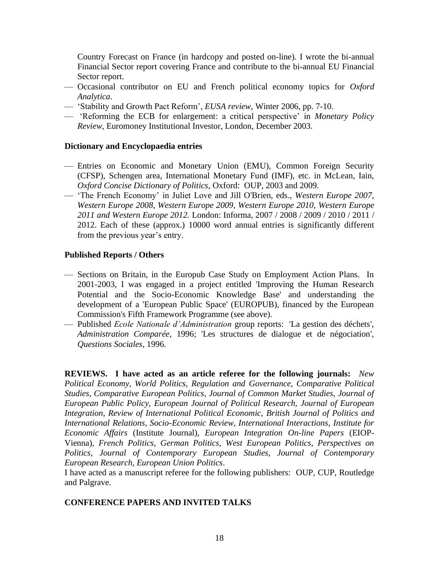Country Forecast on France (in hardcopy and posted on-line). I wrote the bi-annual Financial Sector report covering France and contribute to the bi-annual EU Financial Sector report.

- Occasional contributor on EU and French political economy topics for *Oxford Analytica*.
- 'Stability and Growth Pact Reform', *EUSA review*, Winter 2006, pp. 7-10.
- 'Reforming the ECB for enlargement: a critical perspective' in *Monetary Policy Review*, Euromoney Institutional Investor, London, December 2003.

### **Dictionary and Encyclopaedia entries**

- Entries on Economic and Monetary Union (EMU), Common Foreign Security (CFSP), Schengen area, International Monetary Fund (IMF), etc. in McLean, Iain, *Oxford Concise Dictionary of Politics*, Oxford: OUP, 2003 and 2009.
- 'The French Economy' in Juliet Love and Jill O'Brien, eds., *Western Europe 2007*, *Western Europe 2008, Western Europe 2009, Western Europe 2010*, *Western Europe 2011 and Western Europe 2012.* London: Informa, 2007 / 2008 / 2009 / 2010 / 2011 / 2012. Each of these (approx.) 10000 word annual entries is significantly different from the previous year's entry.

### **Published Reports / Others**

- Sections on Britain, in the Europub Case Study on Employment Action Plans. In 2001-2003, I was engaged in a project entitled 'Improving the Human Research Potential and the Socio-Economic Knowledge Base' and understanding the development of a 'European Public Space' (EUROPUB), financed by the European Commission's Fifth Framework Programme (see above).
- Published *Ecole Nationale d'Administration* group reports: 'La gestion des déchets', *Administration Comparée*, 1996; 'Les structures de dialogue et de négociation', *Questions Sociales*, 1996.

**REVIEWS. I have acted as an article referee for the following journals:** *New Political Economy, World Politics, Regulation and Governance, Comparative Political Studies, Comparative European Politics, Journal of Common Market Studies, Journal of European Public Policy, European Journal of Political Research, Journal of European Integration, Review of International Political Economic, British Journal of Politics and International Relations, Socio-Economic Review, International Interactions, Institute for Economic Affairs* (Institute Journal), *European Integration On-line Papers* (EIOP-Vienna), *French Politics, German Politics, West European Politics, Perspectives on Politics, Journal of Contemporary European Studies, Journal of Contemporary European Research, European Union Politics*.

I have acted as a manuscript referee for the following publishers: OUP, CUP, Routledge and Palgrave.

### **CONFERENCE PAPERS AND INVITED TALKS**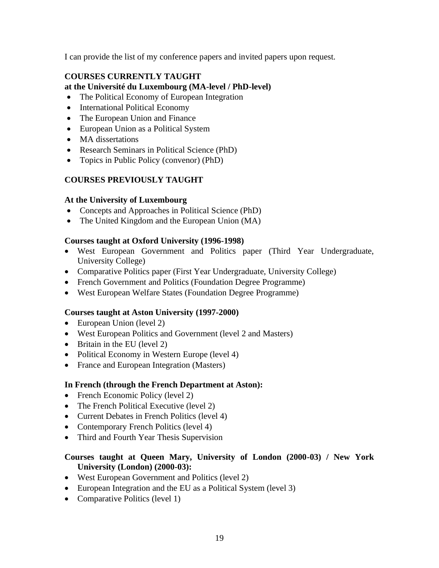I can provide the list of my conference papers and invited papers upon request.

# **COURSES CURRENTLY TAUGHT at the Université du Luxembourg (MA-level / PhD-level)**

- The Political Economy of European Integration
- International Political Economy
- The European Union and Finance
- European Union as a Political System
- MA dissertations
- Research Seminars in Political Science (PhD)
- Topics in Public Policy (convenor) (PhD)

# **COURSES PREVIOUSLY TAUGHT**

# **At the University of Luxembourg**

- Concepts and Approaches in Political Science (PhD)
- The United Kingdom and the European Union (MA)

# **Courses taught at Oxford University (1996-1998)**

- West European Government and Politics paper (Third Year Undergraduate, University College)
- Comparative Politics paper (First Year Undergraduate, University College)
- French Government and Politics (Foundation Degree Programme)
- West European Welfare States (Foundation Degree Programme)

# **Courses taught at Aston University (1997-2000)**

- European Union (level 2)
- West European Politics and Government (level 2 and Masters)
- Britain in the EU (level 2)
- Political Economy in Western Europe (level 4)
- France and European Integration (Masters)

# **In French (through the French Department at Aston):**

- French Economic Policy (level 2)
- The French Political Executive (level 2)
- Current Debates in French Politics (level 4)
- Contemporary French Politics (level 4)
- Third and Fourth Year Thesis Supervision

# **Courses taught at Queen Mary, University of London (2000-03) / New York University (London) (2000-03):**

- West European Government and Politics (level 2)
- European Integration and the EU as a Political System (level 3)
- Comparative Politics (level 1)